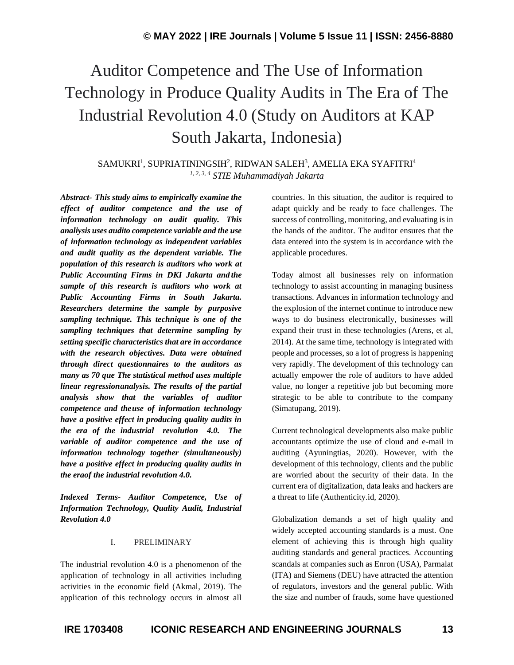# Auditor Competence and The Use of Information Technology in Produce Quality Audits in The Era of The Industrial Revolution 4.0 (Study on Auditors at KAP South Jakarta, Indonesia)

 $\,$ SAMUKRI $^1\!,\,$ SUPRIATININGSIH $^2\!,\,$ RIDWAN SALEH $^3\!,\,$ AMELIA EKA SYAFITRI $^4$ *1, 2, 3, 4 STIE Muhammadiyah Jakarta*

*Abstract- This study aims to empirically examine the effect of auditor competence and the use of information technology on audit quality. This analiysis uses audito competence variable and the use of information technology as independent variables and audit quality as the dependent variable. The population of this research is auditors who work at Public Accounting Firms in DKI Jakarta and the sample of this research is auditors who work at Public Accounting Firms in South Jakarta. Researchers determine the sample by purposive sampling technique. This technique is one of the sampling techniques that determine sampling by setting specific characteristics that are in accordance with the research objectives. Data were obtained through direct questionnaires to the auditors as many as 70 que The statistical method uses multiple linear regressionanalysis. The results of the partial analysis show that the variables of auditor competence and theuse of information technology have a positive effect in producing quality audits in the era of the industrial revolution 4.0. The variable of auditor competence and the use of information technology together (simultaneously) have a positive effect in producing quality audits in the eraof the industrial revolution 4.0.*

*Indexed Terms- Auditor Competence, Use of Information Technology, Quality Audit, Industrial Revolution 4.0*

#### I. PRELIMINARY

The industrial revolution 4.0 is a phenomenon of the application of technology in all activities including activities in the economic field (Akmal, 2019). The application of this technology occurs in almost all countries. In this situation, the auditor is required to adapt quickly and be ready to face challenges. The success of controlling, monitoring, and evaluating is in the hands of the auditor. The auditor ensures that the data entered into the system is in accordance with the applicable procedures.

Today almost all businesses rely on information technology to assist accounting in managing business transactions. Advances in information technology and the explosion of the internet continue to introduce new ways to do business electronically, businesses will expand their trust in these technologies (Arens, et al, 2014). At the same time, technology is integrated with people and processes, so a lot of progress is happening very rapidly. The development of this technology can actually empower the role of auditors to have added value, no longer a repetitive job but becoming more strategic to be able to contribute to the company (Simatupang, 2019).

Current technological developments also make public accountants optimize the use of cloud and e-mail in auditing (Ayuningtias, 2020). However, with the development of this technology, clients and the public are worried about the security of their data. In the current era of digitalization, data leaks and hackers are a threat to life (Authenticity.id, 2020).

Globalization demands a set of high quality and widely accepted accounting standards is a must. One element of achieving this is through high quality auditing standards and general practices. Accounting scandals at companies such as Enron (USA), Parmalat (ITA) and Siemens (DEU) have attracted the attention of regulators, investors and the general public. With the size and number of frauds, some have questioned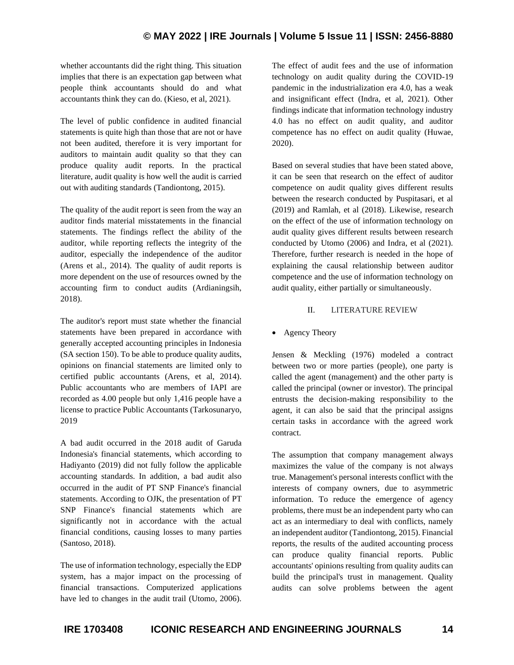whether accountants did the right thing. This situation implies that there is an expectation gap between what people think accountants should do and what accountants think they can do. (Kieso, et al, 2021).

The level of public confidence in audited financial statements is quite high than those that are not or have not been audited, therefore it is very important for auditors to maintain audit quality so that they can produce quality audit reports. In the practical literature, audit quality is how well the audit is carried out with auditing standards (Tandiontong, 2015).

The quality of the audit report is seen from the way an auditor finds material misstatements in the financial statements. The findings reflect the ability of the auditor, while reporting reflects the integrity of the auditor, especially the independence of the auditor (Arens et al., 2014). The quality of audit reports is more dependent on the use of resources owned by the accounting firm to conduct audits (Ardianingsih, 2018).

The auditor's report must state whether the financial statements have been prepared in accordance with generally accepted accounting principles in Indonesia (SA section 150). To be able to produce quality audits, opinions on financial statements are limited only to certified public accountants (Arens, et al, 2014). Public accountants who are members of IAPI are recorded as 4.00 people but only 1,416 people have a license to practice Public Accountants (Tarkosunaryo, 2019

A bad audit occurred in the 2018 audit of Garuda Indonesia's financial statements, which according to Hadiyanto (2019) did not fully follow the applicable accounting standards. In addition, a bad audit also occurred in the audit of PT SNP Finance's financial statements. According to OJK, the presentation of PT SNP Finance's financial statements which are significantly not in accordance with the actual financial conditions, causing losses to many parties (Santoso, 2018).

The use of information technology, especially the EDP system, has a major impact on the processing of financial transactions. Computerized applications have led to changes in the audit trail (Utomo, 2006). The effect of audit fees and the use of information technology on audit quality during the COVID-19 pandemic in the industrialization era 4.0, has a weak and insignificant effect (Indra, et al, 2021). Other findings indicate that information technology industry 4.0 has no effect on audit quality, and auditor competence has no effect on audit quality (Huwae, 2020).

Based on several studies that have been stated above, it can be seen that research on the effect of auditor competence on audit quality gives different results between the research conducted by Puspitasari, et al (2019) and Ramlah, et al (2018). Likewise, research on the effect of the use of information technology on audit quality gives different results between research conducted by Utomo (2006) and Indra, et al (2021). Therefore, further research is needed in the hope of explaining the causal relationship between auditor competence and the use of information technology on audit quality, either partially or simultaneously.

# II. LITERATURE REVIEW

• Agency Theory

Jensen & Meckling (1976) modeled a contract between two or more parties (people), one party is called the agent (management) and the other party is called the principal (owner or investor). The principal entrusts the decision-making responsibility to the agent, it can also be said that the principal assigns certain tasks in accordance with the agreed work contract.

The assumption that company management always maximizes the value of the company is not always true. Management's personal interests conflict with the interests of company owners, due to asymmetric information. To reduce the emergence of agency problems, there must be an independent party who can act as an intermediary to deal with conflicts, namely an independent auditor (Tandiontong, 2015). Financial reports, the results of the audited accounting process can produce quality financial reports. Public accountants' opinions resulting from quality audits can build the principal's trust in management. Quality audits can solve problems between the agent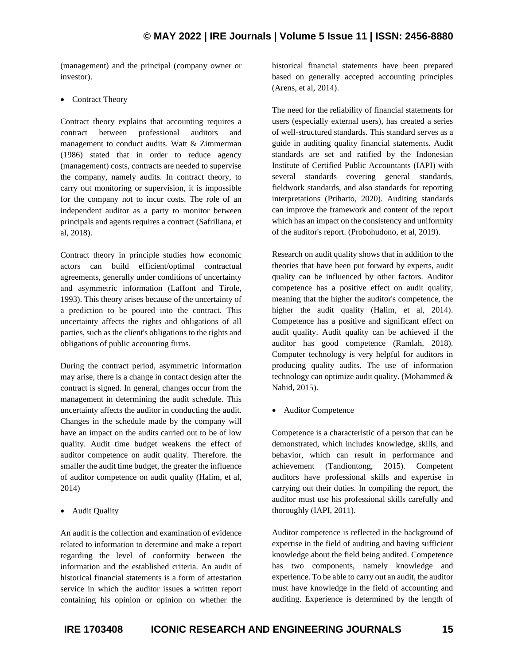(management) and the principal (company owner or investor).

• Contract Theory

Contract theory explains that accounting requires a contract between professional auditors and management to conduct audits. Watt & Zimmerman (1986) stated that in order to reduce agency (management) costs, contracts are needed to supervise the company, namely audits. In contract theory, to carry out monitoring or supervision, it is impossible for the company not to incur costs. The role of an independent auditor as a party to monitor between principals and agents requires a contract (Safriliana, et al, 2018).

Contract theory in principle studies how economic actors can build efficient/optimal contractual agreements, generally under conditions of uncertainty and asymmetric information (Laffont and Tirole, 1993). This theory arises because of the uncertainty of a prediction to be poured into the contract. This uncertainty affects the rights and obligations of all parties, such as the client's obligations to the rights and obligations of public accounting firms.

During the contract period, asymmetric information may arise, there is a change in contact design after the contract is signed. In general, changes occur from the management in determining the audit schedule. This uncertainty affects the auditor in conducting the audit. Changes in the schedule made by the company will have an impact on the audits carried out to be of low quality. Audit time budget weakens the effect of auditor competence on audit quality. Therefore. the smaller the audit time budget, the greater the influence of auditor competence on audit quality (Halim, et al, 2014)

• Audit Quality

An audit is the collection and examination of evidence related to information to determine and make a report regarding the level of conformity between the information and the established criteria. An audit of historical financial statements is a form of attestation service in which the auditor issues a written report containing his opinion or opinion on whether the historical financial statements have been prepared based on generally accepted accounting principles (Arens, et al, 2014).

The need for the reliability of financial statements for users (especially external users), has created a series of well-structured standards. This standard serves as a guide in auditing quality financial statements. Audit standards are set and ratified by the Indonesian Institute of Certified Public Accountants (IAPI) with several standards covering general standards, fieldwork standards, and also standards for reporting interpretations (Priharto, 2020). Auditing standards can improve the framework and content of the report which has an impact on the consistency and uniformity of the auditor's report. (Probohudono, et al, 2019).

Research on audit quality shows that in addition to the theories that have been put forward by experts, audit quality can be influenced by other factors. Auditor competence has a positive effect on audit quality, meaning that the higher the auditor's competence, the higher the audit quality (Halim, et al, 2014). Competence has a positive and significant effect on audit quality. Audit quality can be achieved if the auditor has good competence (Ramlah, 2018). Computer technology is very helpful for auditors in producing quality audits. The use of information technology can optimize audit quality. (Mohammed  $\&$ Nahid, 2015).

• Auditor Competence

Competence is a characteristic of a person that can be demonstrated, which includes knowledge, skills, and behavior, which can result in performance and achievement (Tandiontong, 2015). Competent auditors have professional skills and expertise in carrying out their duties. In compiling the report, the auditor must use his professional skills carefully and thoroughly (IAPI, 2011).

Auditor competence is reflected in the background of expertise in the field of auditing and having sufficient knowledge about the field being audited. Competence has two components, namely knowledge and experience. To be able to carry out an audit, the auditor must have knowledge in the field of accounting and auditing. Experience is determined by the length of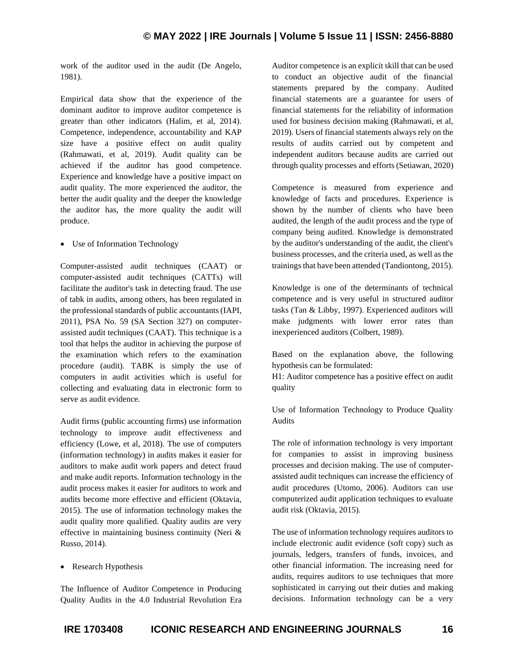work of the auditor used in the audit (De Angelo, 1981).

Empirical data show that the experience of the dominant auditor to improve auditor competence is greater than other indicators (Halim, et al, 2014). Competence, independence, accountability and KAP size have a positive effect on audit quality (Rahmawati, et al, 2019). Audit quality can be achieved if the auditor has good competence. Experience and knowledge have a positive impact on audit quality. The more experienced the auditor, the better the audit quality and the deeper the knowledge the auditor has, the more quality the audit will produce.

• Use of Information Technology

Computer-assisted audit techniques (CAAT) or computer-assisted audit techniques (CATTs) will facilitate the auditor's task in detecting fraud. The use of tabk in audits, among others, has been regulated in the professional standards of public accountants (IAPI, 2011), PSA No. 59 (SA Section 327) on computerassisted audit techniques (CAAT). This technique is a tool that helps the auditor in achieving the purpose of the examination which refers to the examination procedure (audit). TABK is simply the use of computers in audit activities which is useful for collecting and evaluating data in electronic form to serve as audit evidence.

Audit firms (public accounting firms) use information technology to improve audit effectiveness and efficiency (Lowe, et al, 2018). The use of computers (information technology) in audits makes it easier for auditors to make audit work papers and detect fraud and make audit reports. Information technology in the audit process makes it easier for auditors to work and audits become more effective and efficient (Oktavia, 2015). The use of information technology makes the audit quality more qualified. Quality audits are very effective in maintaining business continuity (Neri & Russo, 2014).

• Research Hypothesis

The Influence of Auditor Competence in Producing Quality Audits in the 4.0 Industrial Revolution Era Auditor competence is an explicit skill that can be used to conduct an objective audit of the financial statements prepared by the company. Audited financial statements are a guarantee for users of financial statements for the reliability of information used for business decision making (Rahmawati, et al, 2019). Users of financial statements always rely on the results of audits carried out by competent and independent auditors because audits are carried out through quality processes and efforts (Setiawan, 2020)

Competence is measured from experience and knowledge of facts and procedures. Experience is shown by the number of clients who have been audited, the length of the audit process and the type of company being audited. Knowledge is demonstrated by the auditor's understanding of the audit, the client's business processes, and the criteria used, as well as the trainings that have been attended (Tandiontong, 2015).

Knowledge is one of the determinants of technical competence and is very useful in structured auditor tasks (Tan & Libby, 1997). Experienced auditors will make judgments with lower error rates than inexperienced auditors (Colbert, 1989).

Based on the explanation above, the following hypothesis can be formulated:

H1: Auditor competence has a positive effect on audit quality

Use of Information Technology to Produce Quality Audits

The role of information technology is very important for companies to assist in improving business processes and decision making. The use of computerassisted audit techniques can increase the efficiency of audit procedures (Utomo, 2006). Auditors can use computerized audit application techniques to evaluate audit risk (Oktavia, 2015).

The use of information technology requires auditors to include electronic audit evidence (soft copy) such as journals, ledgers, transfers of funds, invoices, and other financial information. The increasing need for audits, requires auditors to use techniques that more sophisticated in carrying out their duties and making decisions. Information technology can be a very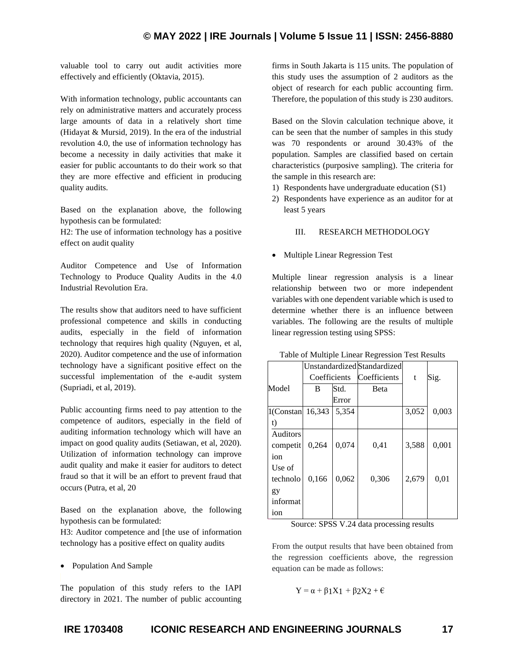valuable tool to carry out audit activities more effectively and efficiently (Oktavia, 2015).

With information technology, public accountants can rely on administrative matters and accurately process large amounts of data in a relatively short time (Hidayat & Mursid, 2019). In the era of the industrial revolution 4.0, the use of information technology has become a necessity in daily activities that make it easier for public accountants to do their work so that they are more effective and efficient in producing quality audits.

Based on the explanation above, the following hypothesis can be formulated:

H2: The use of information technology has a positive effect on audit quality

Auditor Competence and Use of Information Technology to Produce Quality Audits in the 4.0 Industrial Revolution Era.

The results show that auditors need to have sufficient professional competence and skills in conducting audits, especially in the field of information technology that requires high quality (Nguyen, et al, 2020). Auditor competence and the use of information technology have a significant positive effect on the successful implementation of the e-audit system (Supriadi, et al, 2019).

Public accounting firms need to pay attention to the competence of auditors, especially in the field of auditing information technology which will have an impact on good quality audits (Setiawan, et al, 2020). Utilization of information technology can improve audit quality and make it easier for auditors to detect fraud so that it will be an effort to prevent fraud that occurs (Putra, et al, 20

Based on the explanation above, the following hypothesis can be formulated:

H3: Auditor competence and [the use of information technology has a positive effect on quality audits

• Population And Sample

The population of this study refers to the IAPI  $Y = \alpha + \beta_1 X_1 + \beta_2 X_2 + \epsilon$ directory in 2021. The number of public accounting

firms in South Jakarta is 115 units. The population of this study uses the assumption of 2 auditors as the object of research for each public accounting firm. Therefore, the population of this study is 230 auditors.

Based on the Slovin calculation technique above, it can be seen that the number of samples in this study was 70 respondents or around 30.43% of the population. Samples are classified based on certain characteristics (purposive sampling). The criteria for the sample in this research are:

- 1) Respondents have undergraduate education (S1)
- 2) Respondents have experience as an auditor for at least 5 years

## III. RESEARCH METHODOLOGY

• Multiple Linear Regression Test

Multiple linear regression analysis is a linear relationship between two or more independent variables with one dependent variable which is used to determine whether there is an influence between variables. The following are the results of multiple linear regression testing using SPSS:

| Table of Multiple Linear Regression Test Results |  |  |
|--------------------------------------------------|--|--|
|                                                  |  |  |

|                 | Unstandardized Standardized |       |              |       |       |
|-----------------|-----------------------------|-------|--------------|-------|-------|
|                 | Coefficients                |       | Coefficients | t     | Sig.  |
| Model           | B                           | Std.  | Beta         |       |       |
|                 |                             | Error |              |       |       |
| 1(Constan       | 16,343                      | 5,354 |              | 3,052 | 0,003 |
| t)              |                             |       |              |       |       |
| <b>Auditors</b> |                             |       |              |       |       |
| competit        | 0,264                       | 0,074 | 0,41         | 3,588 | 0,001 |
| ion             |                             |       |              |       |       |
| Use of          |                             |       |              |       |       |
| technolo        | 0,166                       | 0,062 | 0,306        | 2,679 | 0,01  |
| gy              |                             |       |              |       |       |
| informat        |                             |       |              |       |       |
| ion             |                             |       |              |       |       |

Source: SPSS V.24 data processing results

From the output results that have been obtained from the regression coefficients above, the regression equation can be made as follows:

$$
Y = \alpha + \beta 1X1 + \beta 2X2 + \varepsilon
$$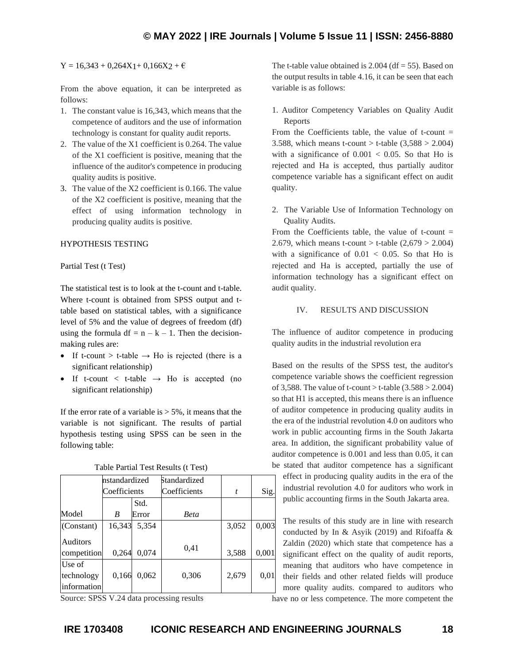#### $Y = 16,343 + 0,264X1 + 0,166X2 + \epsilon$

From the above equation, it can be interpreted as follows:

- 1. The constant value is 16,343, which means that the competence of auditors and the use of information technology is constant for quality audit reports.
- 2. The value of the X1 coefficient is 0.264. The value of the X1 coefficient is positive, meaning that the influence of the auditor's competence in producing quality audits is positive.
- 3. The value of the X2 coefficient is 0.166. The value of the X2 coefficient is positive, meaning that the effect of using information technology in producing quality audits is positive.

#### HYPOTHESIS TESTING

#### Partial Test (t Test)

The statistical test is to look at the t-count and t-table. Where t-count is obtained from SPSS output and ttable based on statistical tables, with a significance level of 5% and the value of degrees of freedom (df) using the formula df =  $n - k - 1$ . Then the decisionmaking rules are:

- If t-count > t-table  $\rightarrow$  Ho is rejected (there is a significant relationship)
- If t-count  $\lt$  t-table  $\rightarrow$  Ho is accepted (no significant relationship)

If the error rate of a variable is  $> 5\%$ , it means that the variable is not significant. The results of partial hypothesis testing using SPSS can be seen in the following table:

|                                     | nstandardized |       | Standardized |       |       |
|-------------------------------------|---------------|-------|--------------|-------|-------|
|                                     | Coefficients  |       | Coefficients | t     | Sig.  |
|                                     |               | Std.  |              |       |       |
| Model                               | B             | Error | <b>Beta</b>  |       |       |
| (Constant)                          | 16,343        | 5,354 |              | 3,052 | 0,003 |
| Auditors<br>competition             | 0,264         | 0,074 | 0,41         | 3,588 | 0,001 |
| Use of<br>technology<br>information | 0,166         | 0,062 | 0.306        | 2,679 | 0,01  |

Source: SPSS V.24 data processing results

The t-table value obtained is  $2.004$  (df = 55). Based on the output results in table 4.16, it can be seen that each variable is as follows:

1. Auditor Competency Variables on Quality Audit Reports

From the Coefficients table, the value of t-count  $=$ 3.588, which means t-count  $>$  t-table (3,588  $>$  2.004) with a significance of  $0.001 < 0.05$ . So that Ho is rejected and Ha is accepted, thus partially auditor competence variable has a significant effect on audit quality.

2. The Variable Use of Information Technology on Quality Audits.

From the Coefficients table, the value of t-count  $=$ 2.679, which means t-count > t-table  $(2,679 > 2.004)$ with a significance of  $0.01 < 0.05$ . So that Ho is rejected and Ha is accepted, partially the use of information technology has a significant effect on audit quality.

# IV. RESULTS AND DISCUSSION

The influence of auditor competence in producing quality audits in the industrial revolution era

Based on the results of the SPSS test, the auditor's competence variable shows the coefficient regression of 3,588. The value of t-count  $>$  t-table (3.588  $>$  2.004) so that H1 is accepted, this means there is an influence of auditor competence in producing quality audits in the era of the industrial revolution 4.0 on auditors who work in public accounting firms in the South Jakarta area. In addition, the significant probability value of auditor competence is 0.001 and less than 0.05, it can be stated that auditor competence has a significant effect in producing quality audits in the era of the industrial revolution 4.0 for auditors who work in public accounting firms in the South Jakarta area.

The results of this study are in line with research conducted by In & Asyik (2019) and Rifoaffa & Zaldin (2020) which state that competence has a significant effect on the quality of audit reports, meaning that auditors who have competence in their fields and other related fields will produce more quality audits. compared to auditors who

have no or less competence. The more competent the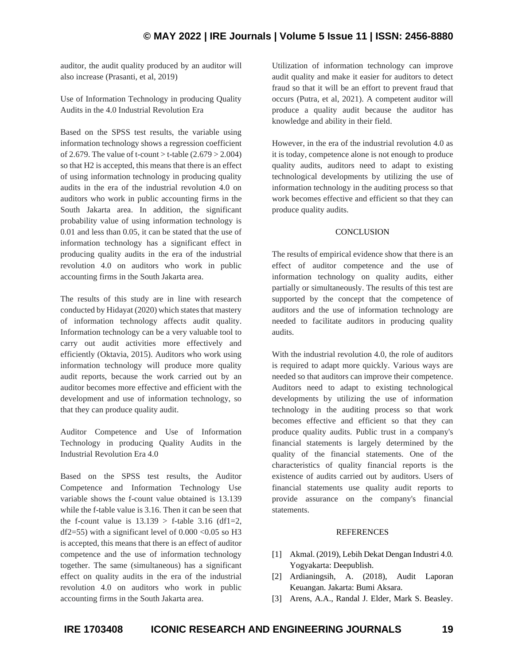# **© MAY 2022 | IRE Journals | Volume 5 Issue 11 | ISSN: 2456-8880**

auditor, the audit quality produced by an auditor will also increase (Prasanti, et al, 2019)

Use of Information Technology in producing Quality Audits in the 4.0 Industrial Revolution Era

Based on the SPSS test results, the variable using information technology shows a regression coefficient of 2.679. The value of t-count  $>$  t-table (2.679  $>$  2.004) so that H2 is accepted, this means that there is an effect of using information technology in producing quality audits in the era of the industrial revolution 4.0 on auditors who work in public accounting firms in the South Jakarta area. In addition, the significant probability value of using information technology is 0.01 and less than 0.05, it can be stated that the use of information technology has a significant effect in producing quality audits in the era of the industrial revolution 4.0 on auditors who work in public accounting firms in the South Jakarta area.

The results of this study are in line with research conducted by Hidayat (2020) which states that mastery of information technology affects audit quality. Information technology can be a very valuable tool to carry out audit activities more effectively and efficiently (Oktavia, 2015). Auditors who work using information technology will produce more quality audit reports, because the work carried out by an auditor becomes more effective and efficient with the development and use of information technology, so that they can produce quality audit.

Auditor Competence and Use of Information Technology in producing Quality Audits in the Industrial Revolution Era 4.0

Based on the SPSS test results, the Auditor Competence and Information Technology Use variable shows the f-count value obtained is 13.139 while the f-table value is 3.16. Then it can be seen that the f-count value is  $13.139 >$  f-table 3.16 (df1=2, df2=55) with a significant level of  $0.000 \le 0.05$  so H3 is accepted, this means that there is an effect of auditor competence and the use of information technology together. The same (simultaneous) has a significant effect on quality audits in the era of the industrial revolution 4.0 on auditors who work in public accounting firms in the South Jakarta area.

Utilization of information technology can improve audit quality and make it easier for auditors to detect fraud so that it will be an effort to prevent fraud that occurs (Putra, et al, 2021). A competent auditor will produce a quality audit because the auditor has knowledge and ability in their field.

However, in the era of the industrial revolution 4.0 as it is today, competence alone is not enough to produce quality audits, auditors need to adapt to existing technological developments by utilizing the use of information technology in the auditing process so that work becomes effective and efficient so that they can produce quality audits.

## **CONCLUSION**

The results of empirical evidence show that there is an effect of auditor competence and the use of information technology on quality audits, either partially or simultaneously. The results of this test are supported by the concept that the competence of auditors and the use of information technology are needed to facilitate auditors in producing quality audits.

With the industrial revolution 4.0, the role of auditors is required to adapt more quickly. Various ways are needed so that auditors can improve their competence. Auditors need to adapt to existing technological developments by utilizing the use of information technology in the auditing process so that work becomes effective and efficient so that they can produce quality audits. Public trust in a company's financial statements is largely determined by the quality of the financial statements. One of the characteristics of quality financial reports is the existence of audits carried out by auditors. Users of financial statements use quality audit reports to provide assurance on the company's financial statements.

#### REFERENCES

- [1] Akmal. (2019), Lebih Dekat Dengan Industri 4.0*.* Yogyakarta: Deepublish.
- [2] Ardianingsih, A. (2018), Audit Laporan Keuangan*.* Jakarta: Bumi Aksara.
- [3] Arens, A.A., Randal J. Elder, Mark S. Beasley.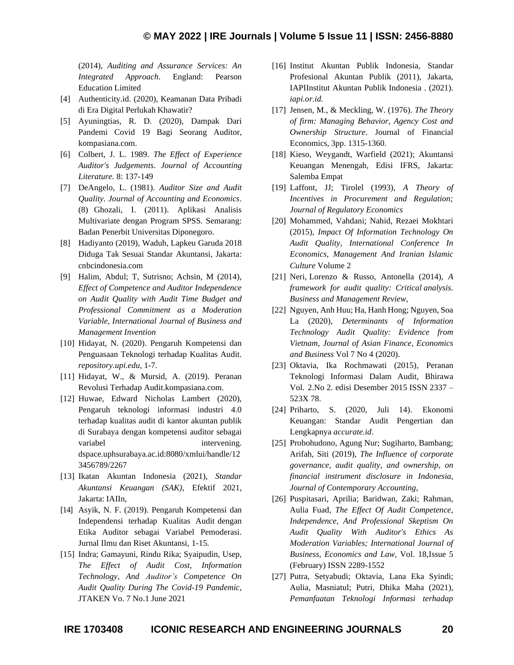(2014), *Auditing and Assurance Services: An Integrated Approach*. England: Pearson Education Limited

- [4] Authenticity.id. (2020), Keamanan Data Pribadi di Era Digital Perlukah Khawatir?
- [5] Ayuningtias, R. D. (2020), Dampak Dari Pandemi Covid 19 Bagi Seorang Auditor, kompasiana.com.
- [6] Colbert, J. L. 1989. *The Effect of Experience Auditor's Judgements*. *Journal of Accounting Literature.* 8: 137-149
- [7] DeAngelo, L. (1981). *Auditor Size and Audit Quality*. *Journal of Accounting and Economics*. (8) Ghozali, I. (2011). Aplikasi Analisis Multivariate dengan Program SPSS*.* Semarang: Badan Penerbit Universitas Diponegoro.
- [8] Hadiyanto (2019), Waduh, Lapkeu Garuda 2018 Diduga Tak Sesuai Standar Akuntansi, Jakarta: cnbcindonesia.com
- [9] Halim, Abdul; T, Sutrisno; Achsin, M (2014), *Effect of Competence and Auditor Independence on Audit Quality with Audit Time Budget and Professional Commitment as a Moderation Variable, International Journal of Business and Management Invention*
- [10] Hidayat, N. (2020). Pengaruh Kompetensi dan Penguasaan Teknologi terhadap Kualitas Audit. *repository.upi.edu*, 1-7.
- [11] Hidayat, W., & Mursid, A. (2019). Peranan Revolusi Terhadap Audit.kompasiana.com.
- [12] Huwae, Edward Nicholas Lambert (2020), Pengaruh teknologi informasi industri 4.0 terhadap kualitas audit di kantor akuntan publik di Surabaya dengan kompetensi auditor sebagai variabel intervening. dspace.uphsurabaya.ac.id:8080/xmlui/handle/12 3456789/2267
- [13] Ikatan Akuntan Indonesia (2021), *Standar Akuntansi Keuangan (SAK)*, Efektif 2021, Jakarta: IAIIn,
- [14] Asyik, N. F. (2019). Pengaruh Kompetensi dan Independensi terhadap Kualitas Audit dengan Etika Auditor sebagai Variabel Pemoderasi. Jurnal Ilmu dan Riset Akuntansi, 1-15.
- [15] Indra; Gamayuni, Rindu Rika; Syaipudin, Usep, *The Effect of Audit Cost, Information Technology, And Auditor's Competence On Audit Quality During The Covid-19 Pandemic,* JTAKEN Vo. 7 No.1 June 2021
- [16] Institut Akuntan Publik Indonesia, Standar Profesional Akuntan Publik (2011), Jakarta, IAPIInstitut Akuntan Publik Indonesia . (2021). *iapi.or.id.*
- [17] Jensen, M., & Meckling, W. (1976). *The Theory of firm: Managing Behavior, Agency Cost and Ownership Structure*. Journal of Financial Economics, 3pp. 1315-1360.
- [18] Kieso, Weygandt, Warfield (2021); Akuntansi Keuangan Menengah, Edisi IFRS, Jakarta: Salemba Empat
- [19] Laffont, JJ; Tirolel (1993), *A Theory of Incentives in Procurement and Regulation; Journal of Regulatory Economics*
- [20] Mohammed, Vahdani; Nahid, Rezaei Mokhtari (2015), *Impact Of Information Technology On Audit Quality, [International](https://www.sid.ir/en/seminar/SeminarList.aspx?ID=110) Conference In Economics, [Management](https://www.sid.ir/en/seminar/SeminarList.aspx?ID=110) And Iranian [Islamic](https://www.sid.ir/en/seminar/SeminarList.aspx?ID=110)  [Culture](https://www.sid.ir/en/seminar/SeminarList.aspx?ID=110)* Volume 2
- [21] Neri, Lorenzo & Russo, Antonella (2014), *A framework for audit quality: Critical analysis. Business and Management Review*,
- [22] Nguyen, Anh Huu; Ha, Hanh Hong; Nguyen, Soa La (2020)*, Determinants of Information Technology Audit Quality: Evidence from Vietnam, Journal of Asian Finance, Economics and Business* Vol 7 No 4 (2020).
- [23] Oktavia, Ika Rochmawati (2015), Peranan Teknologi Informasi Dalam Audit*,* Bhirawa Vol. 2.No 2. edisi Desember 2015 ISSN 2337 – 523X 78.
- [24] Priharto, S. (2020, Juli 14). Ekonomi Keuangan: Standar Audit Pengertian dan Lengkapnya *accurate.id*.
- [25] Probohudono, Agung Nur; Sugiharto, Bambang; Arifah, Siti (2019), *The Influence of corporate governance, audit quality, and ownership, on financial instrument disclosure in Indonesia, Journal of Contemporary Accounting*,
- [26] Puspitasari, Aprilia; Baridwan, Zaki; Rahman, Aulia Fuad, *The Effect Of Audit Competence, Independence, And Professional Skeptism On Audit Quality With Auditor's Ethics As Moderation Variables; International Journal of Business, Economics and Law*, Vol. 18,Issue 5 (February) ISSN 2289-1552
- [27] Putra, Setyabudi; Oktavia, Lana Eka Syindi; Aulia, Masniatul; Putri, Dhika Maha (2021), *Pemanfaatan Teknologi Informasi terhadap*